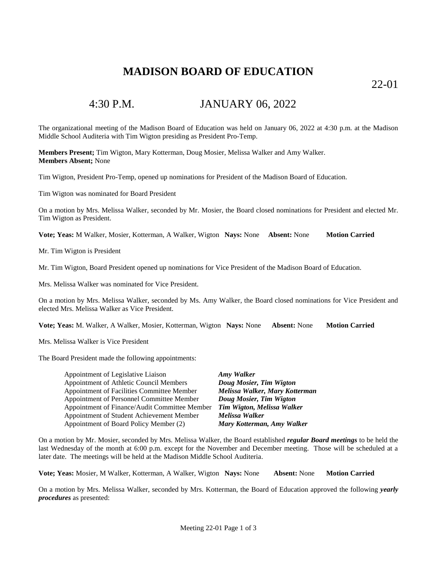### **MADISON BOARD OF EDUCATION**

22-01

### 4:30 P.M. JANUARY 06, 2022

The organizational meeting of the Madison Board of Education was held on January 06, 2022 at 4:30 p.m. at the Madison Middle School Auditeria with Tim Wigton presiding as President Pro-Temp.

**Members Present;** Tim Wigton, Mary Kotterman, Doug Mosier, Melissa Walker and Amy Walker. **Members Absent;** None

Tim Wigton, President Pro-Temp, opened up nominations for President of the Madison Board of Education.

Tim Wigton was nominated for Board President

On a motion by Mrs. Melissa Walker, seconded by Mr. Mosier, the Board closed nominations for President and elected Mr. Tim Wigton as President.

**Vote; Yeas:** M Walker, Mosier, Kotterman, A Walker, Wigton **Nays:** None **Absent:** None **Motion Carried**

Mr. Tim Wigton is President

Mr. Tim Wigton, Board President opened up nominations for Vice President of the Madison Board of Education.

Mrs. Melissa Walker was nominated for Vice President.

On a motion by Mrs. Melissa Walker, seconded by Ms. Amy Walker, the Board closed nominations for Vice President and elected Mrs. Melissa Walker as Vice President.

**Vote; Yeas:** M. Walker, A Walker, Mosier, Kotterman, Wigton **Nays:** None **Absent:** None **Motion Carried**

Mrs. Melissa Walker is Vice President

The Board President made the following appointments:

| Appointment of Legislative Liaison            | <b>Amy Walker</b>              |
|-----------------------------------------------|--------------------------------|
| Appointment of Athletic Council Members       | Doug Mosier, Tim Wigton        |
| Appointment of Facilities Committee Member    | Melissa Walker, Mary Kotterman |
| Appointment of Personnel Committee Member     | Doug Mosier, Tim Wigton        |
| Appointment of Finance/Audit Committee Member | Tim Wigton, Melissa Walker     |
| Appointment of Student Achievement Member     | Melissa Walker                 |
| Appointment of Board Policy Member (2)        | Mary Kotterman, Amy Walker     |

On a motion by Mr. Mosier, seconded by Mrs. Melissa Walker, the Board established *regular Board meetings* to be held the last Wednesday of the month at 6:00 p.m. except for the November and December meeting. Those will be scheduled at a later date. The meetings will be held at the Madison Middle School Auditeria.

**Vote; Yeas:** Mosier, M Walker, Kotterman, A Walker, Wigton **Nays:** None **Absent:** None **Motion Carried**

On a motion by Mrs. Melissa Walker, seconded by Mrs. Kotterman, the Board of Education approved the following *yearly procedures* as presented: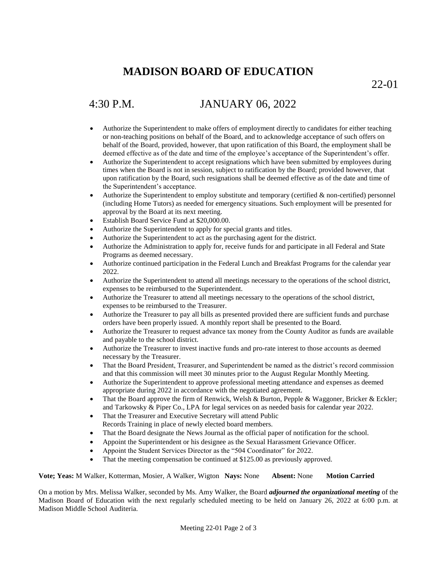## **MADISON BOARD OF EDUCATION**

22-01

# 4:30 P.M. JANUARY 06, 2022

- Authorize the Superintendent to make offers of employment directly to candidates for either teaching or non-teaching positions on behalf of the Board, and to acknowledge acceptance of such offers on behalf of the Board, provided, however, that upon ratification of this Board, the employment shall be deemed effective as of the date and time of the employee's acceptance of the Superintendent's offer.
- Authorize the Superintendent to accept resignations which have been submitted by employees during times when the Board is not in session, subject to ratification by the Board; provided however, that upon ratification by the Board, such resignations shall be deemed effective as of the date and time of the Superintendent's acceptance.
- Authorize the Superintendent to employ substitute and temporary (certified  $\&$  non-certified) personnel (including Home Tutors) as needed for emergency situations. Such employment will be presented for approval by the Board at its next meeting.
- Establish Board Service Fund at \$20,000.00.
- Authorize the Superintendent to apply for special grants and titles.
- Authorize the Superintendent to act as the purchasing agent for the district.
- Authorize the Administration to apply for, receive funds for and participate in all Federal and State Programs as deemed necessary.
- Authorize continued participation in the Federal Lunch and Breakfast Programs for the calendar year 2022.
- Authorize the Superintendent to attend all meetings necessary to the operations of the school district, expenses to be reimbursed to the Superintendent.
- Authorize the Treasurer to attend all meetings necessary to the operations of the school district, expenses to be reimbursed to the Treasurer.
- Authorize the Treasurer to pay all bills as presented provided there are sufficient funds and purchase orders have been properly issued. A monthly report shall be presented to the Board.
- Authorize the Treasurer to request advance tax money from the County Auditor as funds are available and payable to the school district.
- Authorize the Treasurer to invest inactive funds and pro-rate interest to those accounts as deemed necessary by the Treasurer.
- That the Board President, Treasurer, and Superintendent be named as the district's record commission and that this commission will meet 30 minutes prior to the August Regular Monthly Meeting.
- Authorize the Superintendent to approve professional meeting attendance and expenses as deemed appropriate during 2022 in accordance with the negotiated agreement.
- That the Board approve the firm of Renwick, Welsh & Burton, Pepple & Waggoner, Bricker & Eckler; and Tarkowsky & Piper Co., LPA for legal services on as needed basis for calendar year 2022.
- That the Treasurer and Executive Secretary will attend Public Records Training in place of newly elected board members.
- That the Board designate the News Journal as the official paper of notification for the school.
- Appoint the Superintendent or his designee as the Sexual Harassment Grievance Officer.
- Appoint the Student Services Director as the "504 Coordinator" for 2022.
- That the meeting compensation be continued at \$125.00 as previously approved.

**Vote; Yeas:** M Walker, Kotterman, Mosier, A Walker, Wigton **Nays:** None **Absent:** None **Motion Carried**

On a motion by Mrs. Melissa Walker, seconded by Ms. Amy Walker, the Board *adjourned the organizational meeting* of the Madison Board of Education with the next regularly scheduled meeting to be held on January 26, 2022 at 6:00 p.m. at Madison Middle School Auditeria.